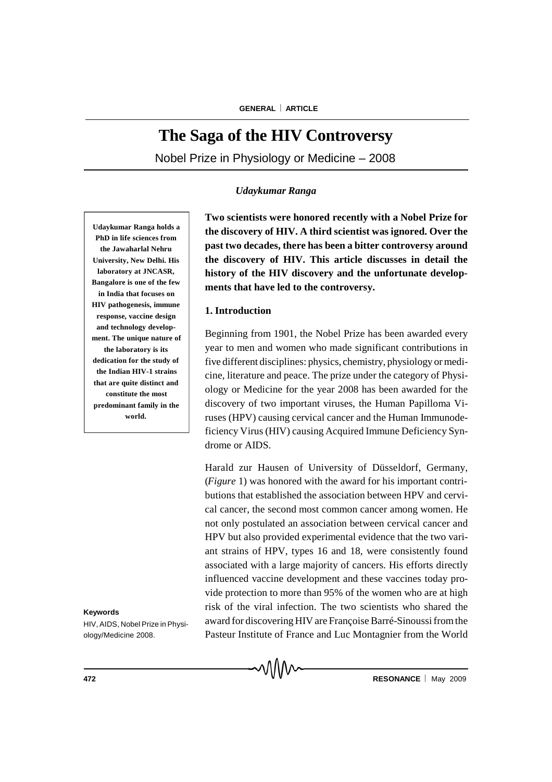# **The Saga of the HIV Controversy**

Nobel Prize in Physiology or Medicine – 2008

## *Udaykumar Ranga*

**Udaykumar Ranga holds a PhD in life sciences from the Jawaharlal Nehru University, New Delhi. His laboratory at JNCASR, Bangalore is one of the few in India that focuses on HIV pathogenesis, immune response, vaccine design and technology development. The unique nature of the laboratory is its dedication for the study of the Indian HIV-1 strains that are quite distinct and constitute the most predominant family in the world.**

**Keywords** HIV, AIDS, Nobel Prize in Physiology/Medicine 2008.

**Two scientists were honored recently with a Nobel Prize for the discovery of HIV. A third scientist was ignored. Over the past two decades, there has been a bitter controversy around the discovery of HIV. This article discusses in detail the history of the HIV discovery and the unfortunate developments that have led to the controversy.**

## **1. Introduction**

Beginning from 1901, the Nobel Prize has been awarded every year to men and women who made significant contributions in five different disciplines: physics, chemistry, physiology or medicine, literature and peace. The prize under the category of Physiology or Medicine for the year 2008 has been awarded for the discovery of two important viruses, the Human Papilloma Viruses (HPV) causing cervical cancer and the Human Immunodeficiency Virus (HIV) causing Acquired Immune Deficiency Syndrome or AIDS.

Harald zur Hausen of University of Düsseldorf, Germany, (*Figure* 1) was honored with the award for his important contributions that established the association between HPV and cervical cancer, the second most common cancer among women. He not only postulated an association between cervical cancer and HPV but also provided experimental evidence that the two variant strains of HPV, types 16 and 18, were consistently found associated with a large majority of cancers. His efforts directly influenced vaccine development and these vaccines today provide protection to more than 95% of the women who are at high risk of the viral infection. The two scientists who shared the award for discovering HIV are Françoise Barré-Sinoussi from the Pasteur Institute of France and Luc Montagnier from the World

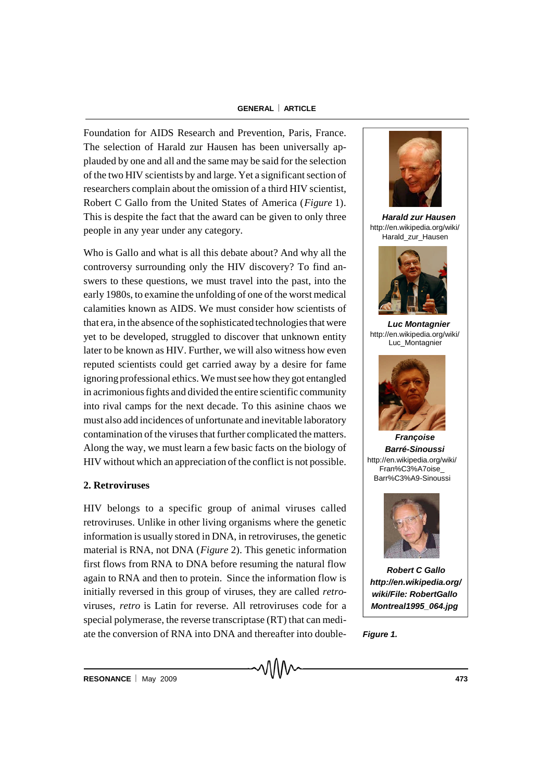Foundation for AIDS Research and Prevention, Paris, France. The selection of Harald zur Hausen has been universally applauded by one and all and the same may be said for the selection of the two HIV scientists by and large. Yet a significant section of researchers complain about the omission of a third HIV scientist, Robert C Gallo from the United States of America (*Figure* 1). This is despite the fact that the award can be given to only three people in any year under any category.

Who is Gallo and what is all this debate about? And why all the controversy surrounding only the HIV discovery? To find answers to these questions, we must travel into the past, into the early 1980s, to examine the unfolding of one of the worst medical calamities known as AIDS. We must consider how scientists of that era, in the absence of the sophisticated technologies that were yet to be developed, struggled to discover that unknown entity later to be known as HIV. Further, we will also witness how even reputed scientists could get carried away by a desire for fame ignoring professional ethics. We must see how they got entangled in acrimonious fights and divided the entire scientific community into rival camps for the next decade. To this asinine chaos we must also add incidences of unfortunate and inevitable laboratory contamination of the viruses that further complicated the matters. Along the way, we must learn a few basic facts on the biology of HIV without which an appreciation of the conflict is not possible.

# **2. Retroviruses**

HIV belongs to a specific group of animal viruses called retroviruses. Unlike in other living organisms where the genetic information is usually stored in DNA, in retroviruses, the genetic material is RNA, not DNA (*Figure* 2). This genetic information first flows from RNA to DNA before resuming the natural flow again to RNA and then to protein. Since the information flow is initially reversed in this group of viruses, they are called *retro*viruses, *retro* is Latin for reverse. All retroviruses code for a special polymerase, the reverse transcriptase (RT) that can mediate the conversion of RNA into DNA and thereafter into double-



*Harald zur Hausen* http://en.wikipedia.org/wiki/ Harald\_zur\_Hausen



*Luc Montagnier* http://en.wikipedia.org/wiki/ Luc\_Montagnier



*Françoise Barré-Sinoussi* http://en.wikipedia.org/wiki/ Fran%C3%A7oise\_ Barr%C3%A9-Sinoussi



*Robert C Gallo http://en.wikipedia.org/ wiki/File: RobertGallo Montreal1995\_064.jpg*

*Figure 1.*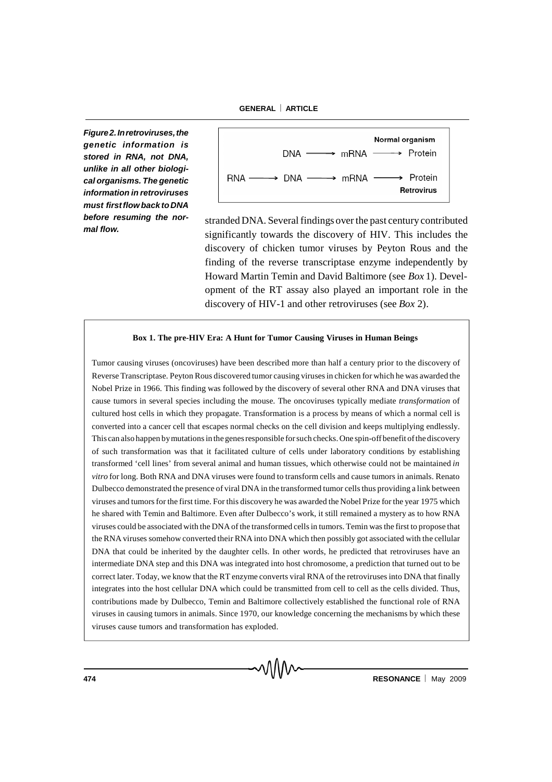

*Figure2.Inretroviruses,the genetic information is stored in RNA, not DNA, unlike in all other biological organisms. The genetic information in retroviruses must first flow back to DNA before resuming the normal flow.*



stranded DNA. Several findings over the past century contributed significantly towards the discovery of HIV. This includes the discovery of chicken tumor viruses by Peyton Rous and the finding of the reverse transcriptase enzyme independently by Howard Martin Temin and David Baltimore (see *Box* 1). Development of the RT assay also played an important role in the discovery of HIV-1 and other retroviruses (see *Box* 2).

### **Box 1. The pre-HIV Era: A Hunt for Tumor Causing Viruses in Human Beings**

Tumor causing viruses (oncoviruses) have been described more than half a century prior to the discovery of Reverse Transcriptase. Peyton Rous discovered tumor causing viruses in chicken for which he was awarded the Nobel Prize in 1966. This finding was followed by the discovery of several other RNA and DNA viruses that cause tumors in several species including the mouse. The oncoviruses typically mediate *transformation* of cultured host cells in which they propagate. Transformation is a process by means of which a normal cell is converted into a cancer cell that escapes normal checks on the cell division and keeps multiplying endlessly. This can also happen bymutations in the genes responsible for such checks. One spin-off benefit ofthe discovery of such transformation was that it facilitated culture of cells under laboratory conditions by establishing transformed 'cell lines' from several animal and human tissues, which otherwise could not be maintained *in vitro* for long. Both RNA and DNA viruses were found to transform cells and cause tumors in animals. Renato Dulbecco demonstrated the presence of viral DNA in the transformed tumor cells thus providing a link between viruses and tumors for the first time. For this discovery he was awarded the Nobel Prize for the year 1975 which he shared with Temin and Baltimore. Even after Dulbecco's work, it still remained a mystery as to how RNA viruses could be associated with the DNA of the transformed cells in tumors. Temin was the first to propose that the RNA viruses somehow converted their RNA into DNA which then possibly got associated with the cellular DNA that could be inherited by the daughter cells. In other words, he predicted that retroviruses have an intermediate DNA step and this DNA was integrated into host chromosome, a prediction that turned out to be correct later. Today, we know that the RT enzyme converts viral RNA of the retroviruses into DNA that finally integrates into the host cellular DNA which could be transmitted from cell to cell as the cells divided. Thus, contributions made by Dulbecco, Temin and Baltimore collectively established the functional role of RNA viruses in causing tumors in animals. Since 1970, our knowledge concerning the mechanisms by which these viruses cause tumors and transformation has exploded.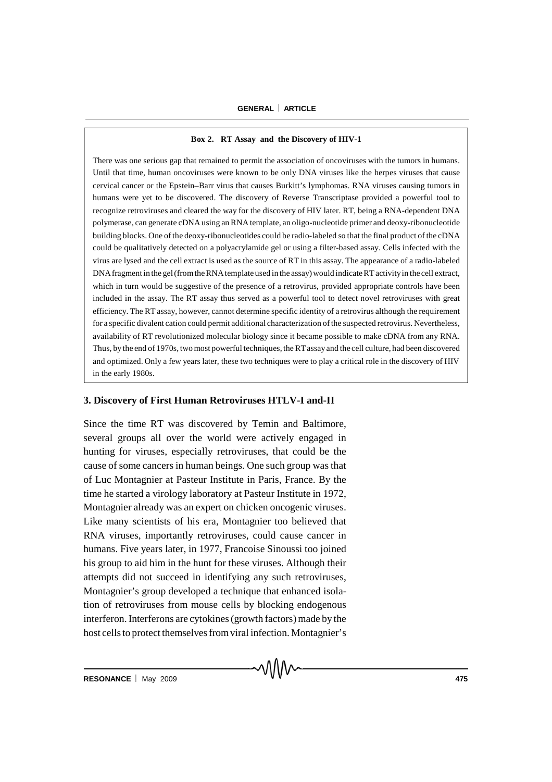#### **Box 2. RT Assay and the Discovery of HIV-1**

There was one serious gap that remained to permit the association of oncoviruses with the tumors in humans. Until that time, human oncoviruses were known to be only DNA viruses like the herpes viruses that cause cervical cancer or the Epstein–Barr virus that causes Burkitt's lymphomas. RNA viruses causing tumors in humans were yet to be discovered. The discovery of Reverse Transcriptase provided a powerful tool to recognize retroviruses and cleared the way for the discovery of HIV later. RT, being a RNA-dependent DNA polymerase, can generate cDNA using an RNA template, an oligo-nucleotide primer and deoxy-ribonucleotide building blocks. One of the deoxy-ribonucleotides could be radio-labeled so that the final product of the cDNA could be qualitatively detected on a polyacrylamide gel or using a filter-based assay. Cells infected with the virus are lysed and the cell extract is used as the source of RT in this assay. The appearance of a radio-labeled DNAfragment in the gel (from the RNA template used in the assay) would indicate RT activityin the cell extract, which in turn would be suggestive of the presence of a retrovirus, provided appropriate controls have been included in the assay. The RT assay thus served as a powerful tool to detect novel retroviruses with great efficiency. The RT assay, however, cannot determine specific identity of a retrovirus although the requirement for a specific divalent cation could permit additional characterization of the suspected retrovirus. Nevertheless, availability of RT revolutionized molecular biology since it became possible to make cDNA from any RNA. Thus, by the end of 1970s, two most powerful techniques, the RT assay and the cell culture, had been discovered and optimized. Only a few years later, these two techniques were to play a critical role in the discovery of HIV in the early 1980s.

∧∧∧∧

# **3. Discovery of First Human Retroviruses HTLV-I and-II**

Since the time RT was discovered by Temin and Baltimore, several groups all over the world were actively engaged in hunting for viruses, especially retroviruses, that could be the cause of some cancers in human beings. One such group was that of Luc Montagnier at Pasteur Institute in Paris, France. By the time he started a virology laboratory at Pasteur Institute in 1972, Montagnier already was an expert on chicken oncogenic viruses. Like many scientists of his era, Montagnier too believed that RNA viruses, importantly retroviruses, could cause cancer in humans. Five years later, in 1977, Francoise Sinoussi too joined his group to aid him in the hunt for these viruses. Although their attempts did not succeed in identifying any such retroviruses, Montagnier's group developed a technique that enhanced isolation of retroviruses from mouse cells by blocking endogenous interferon. Interferons are cytokines (growth factors) made by the host cells to protect themselves fromviral infection. Montagnier's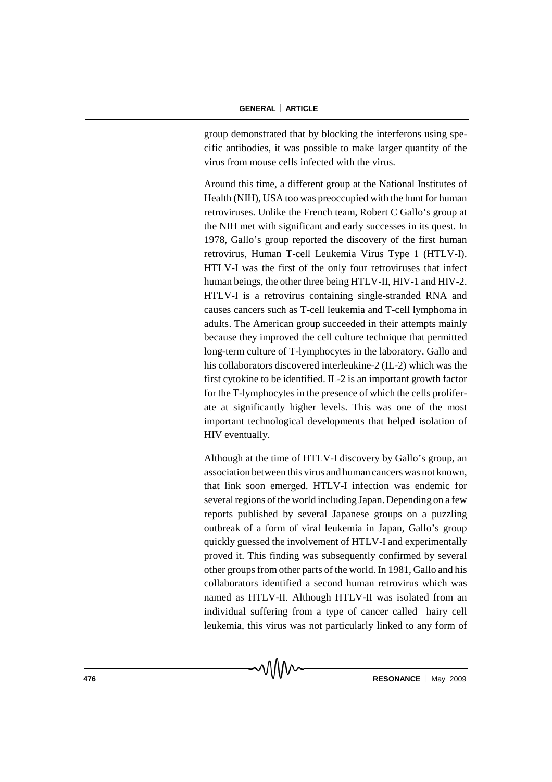group demonstrated that by blocking the interferons using specific antibodies, it was possible to make larger quantity of the virus from mouse cells infected with the virus.

Around this time, a different group at the National Institutes of Health (NIH), USA too was preoccupied with the hunt for human retroviruses. Unlike the French team, Robert C Gallo's group at the NIH met with significant and early successes in its quest. In 1978, Gallo's group reported the discovery of the first human retrovirus, Human T-cell Leukemia Virus Type 1 (HTLV-I). HTLV-I was the first of the only four retroviruses that infect human beings, the other three being HTLV-II, HIV-1 and HIV-2. HTLV-I is a retrovirus containing single-stranded RNA and causes cancers such as T-cell leukemia and T-cell lymphoma in adults. The American group succeeded in their attempts mainly because they improved the cell culture technique that permitted long-term culture of T-lymphocytes in the laboratory. Gallo and his collaborators discovered interleukine-2 (IL-2) which was the first cytokine to be identified. IL-2 is an important growth factor for the T-lymphocytes in the presence of which the cells proliferate at significantly higher levels. This was one of the most important technological developments that helped isolation of HIV eventually.

Although at the time of HTLV-I discovery by Gallo's group, an association between this virus and human cancers was not known, that link soon emerged. HTLV-I infection was endemic for several regions of the world including Japan. Depending on a few reports published by several Japanese groups on a puzzling outbreak of a form of viral leukemia in Japan, Gallo's group quickly guessed the involvement of HTLV-I and experimentally proved it. This finding was subsequently confirmed by several other groups from other parts of the world. In 1981, Gallo and his collaborators identified a second human retrovirus which was named as HTLV-II. Although HTLV-II was isolated from an individual suffering from a type of cancer called hairy cell leukemia, this virus was not particularly linked to any form of

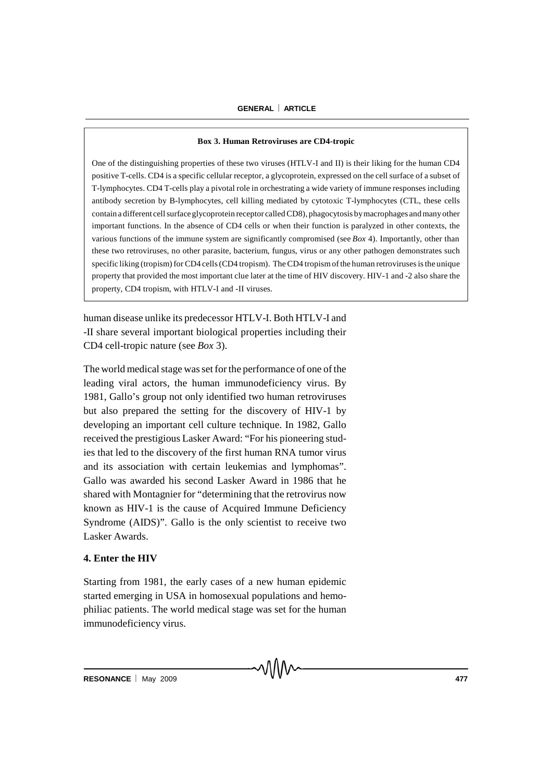#### **Box 3. Human Retroviruses are CD4-tropic**

One of the distinguishing properties of these two viruses (HTLV-I and II) is their liking for the human CD4 positive T-cells. CD4 is a specific cellular receptor, a glycoprotein, expressed on the cell surface of a subset of T-lymphocytes. CD4 T-cells play a pivotal role in orchestrating a wide variety of immune responses including antibody secretion by B-lymphocytes, cell killing mediated by cytotoxic T-lymphocytes (CTL, these cells contain a different cell surface glycoprotein receptor called CD8), phagocytosis bymacrophages and many other important functions. In the absence of CD4 cells or when their function is paralyzed in other contexts, the various functions of the immune system are significantly compromised (see *Box* 4). Importantly, other than these two retroviruses, no other parasite, bacterium, fungus, virus or any other pathogen demonstrates such specific liking (tropism) for CD4 cells (CD4 tropism). The CD4 tropism of the human retroviruses is the unique property that provided the most important clue later at the time of HIV discovery. HIV-1 and -2 also share the property, CD4 tropism, with HTLV-I and -II viruses.

human disease unlike its predecessor HTLV-I. Both HTLV-I and -II share several important biological properties including their CD4 cell-tropic nature (see *Box* 3).

The world medical stage was set for the performance of one of the leading viral actors, the human immunodeficiency virus. By 1981, Gallo's group not only identified two human retroviruses but also prepared the setting for the discovery of HIV-1 by developing an important cell culture technique. In 1982, Gallo received the prestigious Lasker Award: "For his pioneering studies that led to the discovery of the first human RNA tumor virus and its association with certain leukemias and lymphomas". Gallo was awarded his second Lasker Award in 1986 that he shared with Montagnier for "determining that the retrovirus now known as HIV-1 is the cause of Acquired Immune Deficiency Syndrome (AIDS)". Gallo is the only scientist to receive two Lasker Awards.

## **4. Enter the HIV**

Starting from 1981, the early cases of a new human epidemic started emerging in USA in homosexual populations and hemophiliac patients. The world medical stage was set for the human immunodeficiency virus.

√M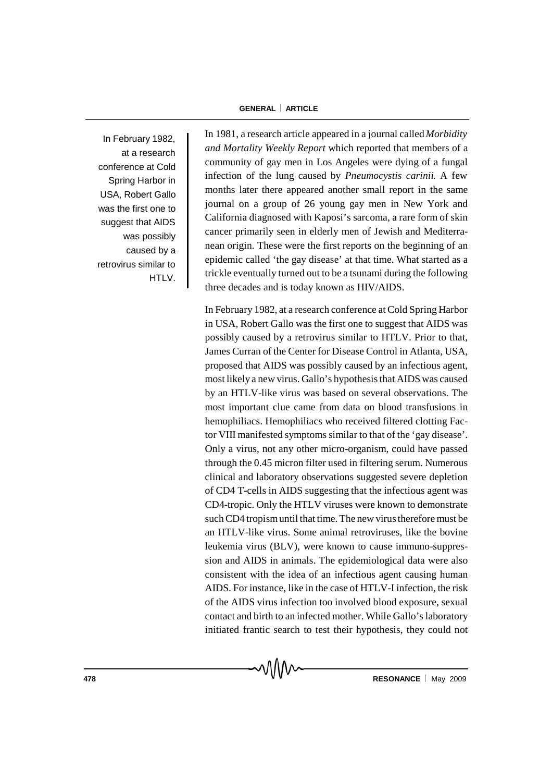In February 1982, at a research conference at Cold Spring Harbor in USA, Robert Gallo was the first one to suggest that AIDS was possibly caused by a retrovirus similar to HTLV.

In 1981, a research article appeared in a journal called *Morbidity and Mortality Weekly Report* which reported that members of a community of gay men in Los Angeles were dying of a fungal infection of the lung caused by *Pneumocystis carinii*. A few months later there appeared another small report in the same journal on a group of 26 young gay men in New York and California diagnosed with Kaposi's sarcoma, a rare form of skin cancer primarily seen in elderly men of Jewish and Mediterranean origin. These were the first reports on the beginning of an epidemic called 'the gay disease' at that time. What started as a trickle eventually turned out to be a tsunami during the following three decades and is today known as HIV/AIDS.

In February 1982, at a research conference at Cold Spring Harbor in USA, Robert Gallo was the first one to suggest that AIDS was possibly caused by a retrovirus similar to HTLV. Prior to that, James Curran of the Center for Disease Control in Atlanta, USA, proposed that AIDS was possibly caused by an infectious agent, most likely a new virus. Gallo's hypothesis that AIDS was caused by an HTLV-like virus was based on several observations. The most important clue came from data on blood transfusions in hemophiliacs. Hemophiliacs who received filtered clotting Factor VIII manifested symptoms similar to that of the 'gay disease'. Only a virus, not any other micro-organism, could have passed through the 0.45 micron filter used in filtering serum. Numerous clinical and laboratory observations suggested severe depletion of CD4 T-cells in AIDS suggesting that the infectious agent was CD4-tropic. Only the HTLV viruses were known to demonstrate such CD4 tropismuntil that time. The new virus therefore must be an HTLV-like virus. Some animal retroviruses, like the bovine leukemia virus (BLV), were known to cause immuno-suppression and AIDS in animals. The epidemiological data were also consistent with the idea of an infectious agent causing human AIDS. For instance, like in the case of HTLV-I infection, the risk of the AIDS virus infection too involved blood exposure, sexual contact and birth to an infected mother. While Gallo's laboratory initiated frantic search to test their hypothesis, they could not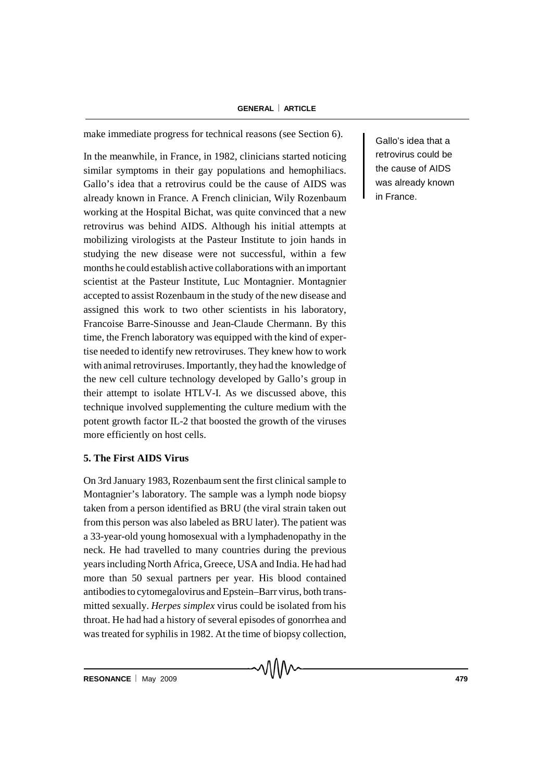make immediate progress for technical reasons (see Section 6).

In the meanwhile, in France, in 1982, clinicians started noticing similar symptoms in their gay populations and hemophiliacs. Gallo's idea that a retrovirus could be the cause of AIDS was already known in France. A French clinician, Wily Rozenbaum working at the Hospital Bichat, was quite convinced that a new retrovirus was behind AIDS. Although his initial attempts at mobilizing virologists at the Pasteur Institute to join hands in studying the new disease were not successful, within a few months he could establish active collaborations with an important scientist at the Pasteur Institute, Luc Montagnier. Montagnier accepted to assist Rozenbaum in the study of the new disease and assigned this work to two other scientists in his laboratory, Francoise Barre-Sinousse and Jean-Claude Chermann. By this time, the French laboratory was equipped with the kind of expertise needed to identify new retroviruses. They knew how to work with animal retroviruses. Importantly, they had the knowledge of the new cell culture technology developed by Gallo's group in their attempt to isolate HTLV-I. As we discussed above, this technique involved supplementing the culture medium with the potent growth factor IL-2 that boosted the growth of the viruses more efficiently on host cells.

## **5. The First AIDS Virus**

On 3rd January 1983, Rozenbaum sent the first clinical sample to Montagnier's laboratory. The sample was a lymph node biopsy taken from a person identified as BRU (the viral strain taken out from this person was also labeled as BRU later). The patient was a 33-year-old young homosexual with a lymphadenopathy in the neck. He had travelled to many countries during the previous years including North Africa, Greece, USA and India. He had had more than 50 sexual partners per year. His blood contained antibodies to cytomegalovirus and Epstein–Barr virus, both transmitted sexually. *Herpes simplex* virus could be isolated from his throat. He had had a history of several episodes of gonorrhea and was treated for syphilis in 1982. At the time of biopsy collection,

**RESONANCE** May 2009 **479** 

Gallo's idea that a retrovirus could be the cause of AIDS was already known in France.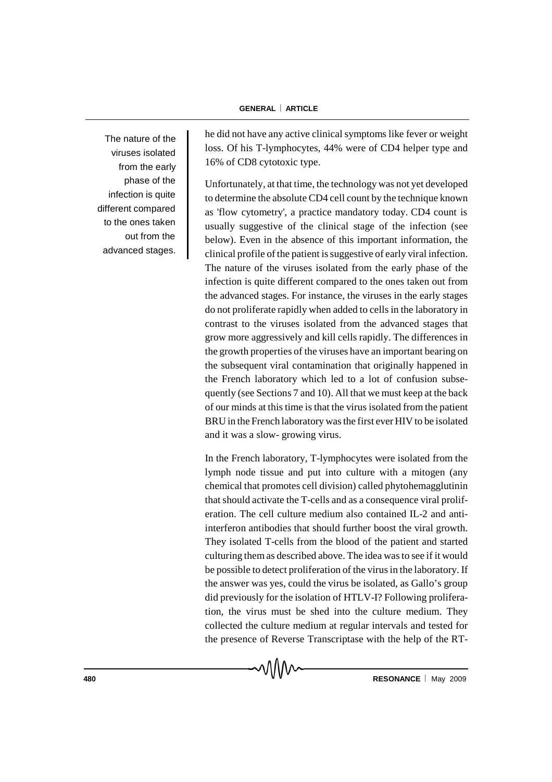The nature of the viruses isolated from the early phase of the infection is quite different compared to the ones taken out from the advanced stages.

he did not have any active clinical symptoms like fever or weight loss. Of his T-lymphocytes, 44% were of CD4 helper type and 16% of CD8 cytotoxic type.

Unfortunately, at that time, the technology was not yet developed to determine the absolute CD4 cell count by the technique known as 'flow cytometry', a practice mandatory today. CD4 count is usually suggestive of the clinical stage of the infection (see below). Even in the absence of this important information, the clinical profile of the patient is suggestive of early viral infection. The nature of the viruses isolated from the early phase of the infection is quite different compared to the ones taken out from the advanced stages. For instance, the viruses in the early stages do not proliferate rapidly when added to cells in the laboratory in contrast to the viruses isolated from the advanced stages that grow more aggressively and kill cells rapidly. The differences in the growth properties of the viruses have an important bearing on the subsequent viral contamination that originally happened in the French laboratory which led to a lot of confusion subsequently (see Sections 7 and 10). All that we must keep at the back of our minds at this time is that the virus isolated from the patient BRU in the French laboratory was the first ever HIV to be isolated and it was a slow- growing virus.

In the French laboratory, T-lymphocytes were isolated from the lymph node tissue and put into culture with a mitogen (any chemical that promotes cell division) called phytohemagglutinin that should activate the T-cells and as a consequence viral proliferation. The cell culture medium also contained IL-2 and antiinterferon antibodies that should further boost the viral growth. They isolated T-cells from the blood of the patient and started culturing them as described above. The idea was to see if it would be possible to detect proliferation of the virus in the laboratory. If the answer was yes, could the virus be isolated, as Gallo's group did previously for the isolation of HTLV-I? Following proliferation, the virus must be shed into the culture medium. They collected the culture medium at regular intervals and tested for the presence of Reverse Transcriptase with the help of the RT-

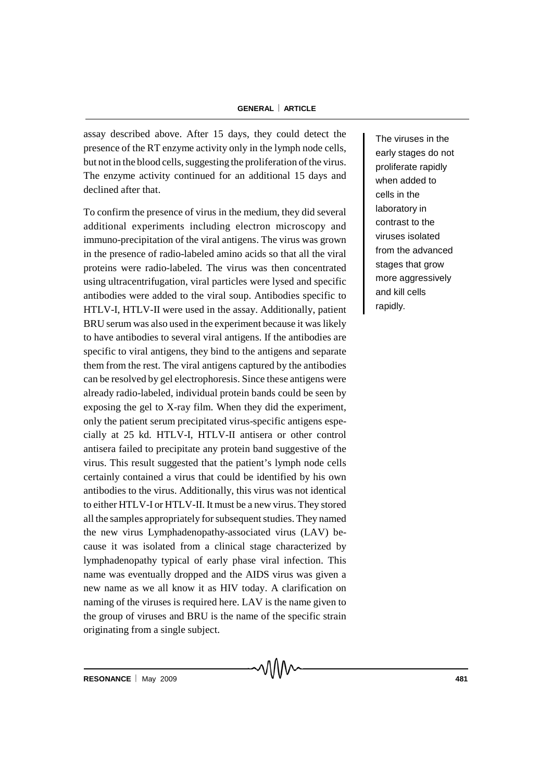assay described above. After 15 days, they could detect the presence of the RT enzyme activity only in the lymph node cells, but not in the blood cells, suggesting the proliferation of the virus. The enzyme activity continued for an additional 15 days and declined after that.

To confirm the presence of virus in the medium, they did several additional experiments including electron microscopy and immuno-precipitation of the viral antigens. The virus was grown in the presence of radio-labeled amino acids so that all the viral proteins were radio-labeled. The virus was then concentrated using ultracentrifugation, viral particles were lysed and specific antibodies were added to the viral soup. Antibodies specific to HTLV-I, HTLV-II were used in the assay. Additionally, patient BRU serum was also used in the experiment because it was likely to have antibodies to several viral antigens. If the antibodies are specific to viral antigens, they bind to the antigens and separate them from the rest. The viral antigens captured by the antibodies can be resolved by gel electrophoresis. Since these antigens were already radio-labeled, individual protein bands could be seen by exposing the gel to X-ray film. When they did the experiment, only the patient serum precipitated virus-specific antigens especially at 25 kd. HTLV-I, HTLV-II antisera or other control antisera failed to precipitate any protein band suggestive of the virus. This result suggested that the patient's lymph node cells certainly contained a virus that could be identified by his own antibodies to the virus. Additionally, this virus was not identical to either HTLV-I or HTLV-II. It must be a new virus. They stored all the samples appropriately for subsequent studies. They named the new virus Lymphadenopathy-associated virus (LAV) because it was isolated from a clinical stage characterized by lymphadenopathy typical of early phase viral infection. This name was eventually dropped and the AIDS virus was given a new name as we all know it as HIV today. A clarification on naming of the viruses is required here. LAV is the name given to the group of viruses and BRU is the name of the specific strain originating from a single subject.

MM

The viruses in the early stages do not proliferate rapidly when added to cells in the laboratory in contrast to the viruses isolated from the advanced stages that grow more aggressively and kill cells rapidly.

**RESONANCE** | May 2009 **481**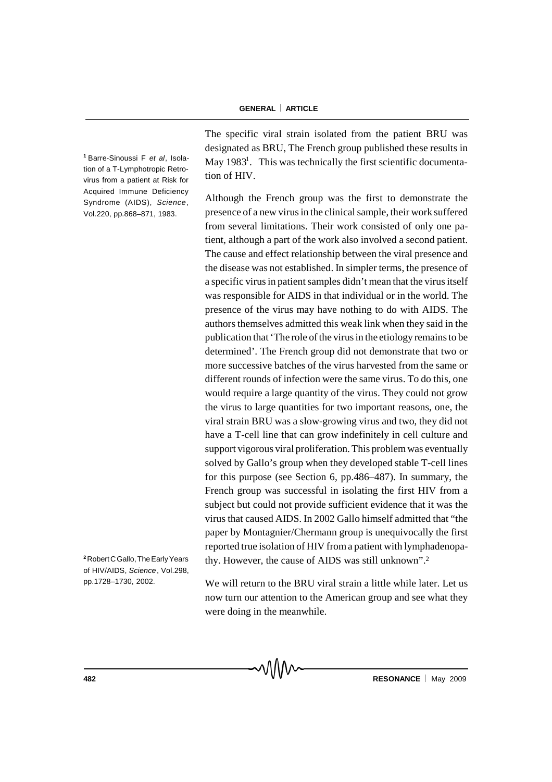**<sup>1</sup>** Barre-Sinoussi F *et al*, Isolation of a T-Lymphotropic Retrovirus from a patient at Risk for Acquired Immune Deficiency Syndrome (AIDS), *Science*, Vol.220, pp.868–871, 1983.

The specific viral strain isolated from the patient BRU was designated as BRU, The French group published these results in May 1983<sup>1</sup>. This was technically the first scientific documentation of HIV.

Although the French group was the first to demonstrate the presence of a new virus in the clinical sample, their work suffered from several limitations. Their work consisted of only one patient, although a part of the work also involved a second patient. The cause and effect relationship between the viral presence and the disease was not established. In simpler terms, the presence of a specific virus in patient samples didn't mean that the virus itself was responsible for AIDS in that individual or in the world. The presence of the virus may have nothing to do with AIDS. The authors themselves admitted this weak link when they said in the publication that 'The role of the virus in the etiology remains to be determined'. The French group did not demonstrate that two or more successive batches of the virus harvested from the same or different rounds of infection were the same virus. To do this, one would require a large quantity of the virus. They could not grow the virus to large quantities for two important reasons, one, the viral strain BRU was a slow-growing virus and two, they did not have a T-cell line that can grow indefinitely in cell culture and support vigorous viral proliferation. This problem was eventually solved by Gallo's group when they developed stable T-cell lines for this purpose (see Section 6, pp.486–487). In summary, the French group was successful in isolating the first HIV from a subject but could not provide sufficient evidence that it was the virus that caused AIDS. In 2002 Gallo himself admitted that "the paper by Montagnier/Chermann group is unequivocally the first reported true isolation of HIV from a patient with lymphadenopathy. However, the cause of AIDS was still unknown".<sup>2</sup>

<sup>2</sup> Robert C Gallo, The Early Years of HIV/AIDS, *Science*, Vol.298, pp.1728–1730, 2002.

We will return to the BRU viral strain a little while later. Let us now turn our attention to the American group and see what they were doing in the meanwhile.

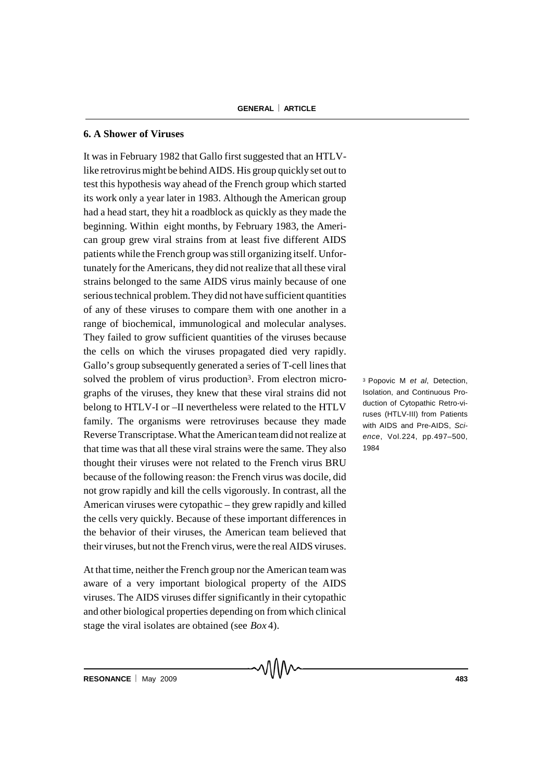## **6. A Shower of Viruses**

It was in February 1982 that Gallo first suggested that an HTLVlike retrovirus might be behind AIDS. His group quickly set out to test this hypothesis way ahead of the French group which started its work only a year later in 1983. Although the American group had a head start, they hit a roadblock as quickly as they made the beginning. Within eight months, by February 1983, the American group grew viral strains from at least five different AIDS patients while the French group was still organizing itself. Unfortunately for the Americans, they did not realize that all these viral strains belonged to the same AIDS virus mainly because of one serious technical problem. They did not have sufficient quantities of any of these viruses to compare them with one another in a range of biochemical, immunological and molecular analyses. They failed to grow sufficient quantities of the viruses because the cells on which the viruses propagated died very rapidly. Gallo's group subsequently generated a series of T-cell lines that solved the problem of virus production<sup>3</sup>. From electron micrographs of the viruses, they knew that these viral strains did not belong to HTLV-I or –II nevertheless were related to the HTLV family. The organisms were retroviruses because they made Reverse Transcriptase. What the American team did not realize at that time was that all these viral strains were the same. They also thought their viruses were not related to the French virus BRU because of the following reason: the French virus was docile, did not grow rapidly and kill the cells vigorously. In contrast, all the American viruses were cytopathic – they grew rapidly and killed the cells very quickly. Because of these important differences in the behavior of their viruses, the American team believed that their viruses, but not the French virus, were the real AIDS viruses.

At that time, neither the French group nor the American team was aware of a very important biological property of the AIDS viruses. The AIDS viruses differ significantly in their cytopathic and other biological properties depending on from which clinical stage the viral isolates are obtained (see *Box* 4).

<sup>3</sup> Popovic M *et al*, Detection, Isolation, and Continuous Production of Cytopathic Retro-viruses (HTLV-III) from Patients with AIDS and Pre-AIDS, *Science*, Vol.224, pp.497–500, 1984

**RESONANCE** | May 2009 483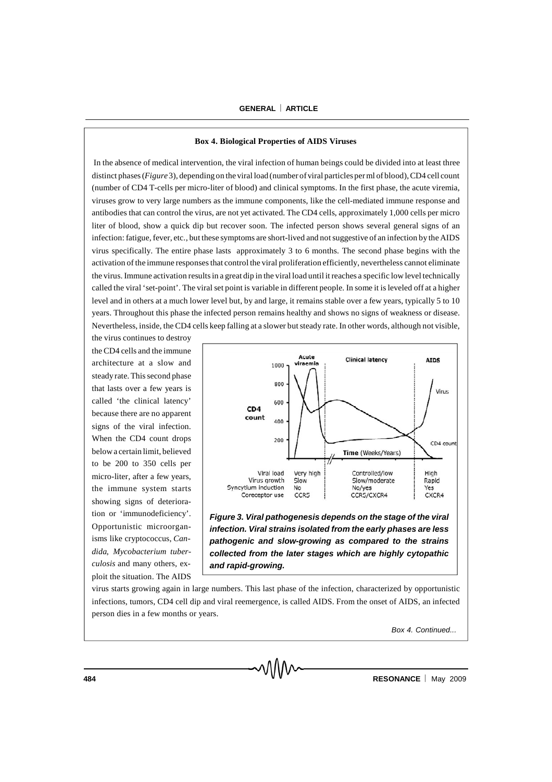#### **Box 4. Biological Properties of AIDS Viruses**

In the absence of medical intervention, the viral infection of human beings could be divided into at least three distinct phases (*Figure*3), depending on the viral load (number ofviral particles per ml of blood), CD4 cell count (number of CD4 T-cells per micro-liter of blood) and clinical symptoms. In the first phase, the acute viremia, viruses grow to very large numbers as the immune components, like the cell-mediated immune response and antibodies that can control the virus, are not yet activated. The CD4 cells, approximately 1,000 cells per micro liter of blood, show a quick dip but recover soon. The infected person shows several general signs of an infection: fatigue, fever, etc., but these symptoms are short-lived and not suggestive of an infection by the AIDS virus specifically. The entire phase lasts approximately 3 to 6 months. The second phase begins with the activation of the immune responses that control the viral proliferation efficiently, nevertheless cannot eliminate the virus. Immune activation results in a great dip in the viral load until it reaches a specific low level technically called the viral 'set-point'. The viral set point is variable in different people. In some it is leveled off at a higher level and in others at a much lower level but, by and large, it remains stable over a few years, typically 5 to 10 years. Throughout this phase the infected person remains healthy and shows no signs of weakness or disease. Nevertheless, inside, the CD4 cells keep falling at a slower but steady rate. In other words, although not visible,

the virus continues to destroy the CD4 cells and the immune architecture at a slow and steady rate. This second phase that lasts over a few years is called 'the clinical latency' because there are no apparent signs of the viral infection. When the CD4 count drops below a certain limit, believed to be 200 to 350 cells per micro-liter, after a few years, the immune system starts showing signs of deterioration or 'immunodeficiency'. Opportunistic microorganisms like cryptococcus, *Candida*, *Mycobacterium tuberculosis* and many others, exploit the situation. The AIDS



*pathogenic and slow-growing as compared to the strains collected from the later stages which are highly cytopathic and rapid-growing.*

virus starts growing again in large numbers. This last phase of the infection, characterized by opportunistic infections, tumors, CD4 cell dip and viral reemergence, is called AIDS. From the onset of AIDS, an infected person dies in a few months or years.

MM

*Box 4. Continued...*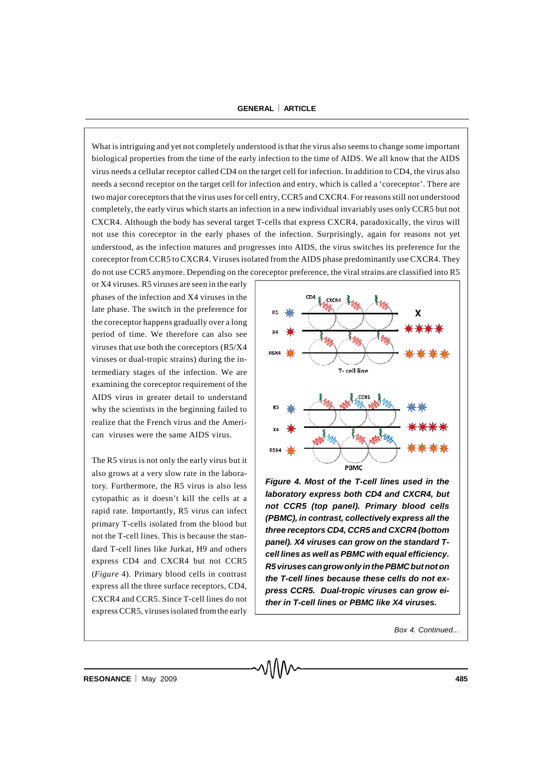What is intriguing and yet not completely understood is that the virus also seems to change some important biological properties from the time of the early infection to the time of AIDS. We all know that the AIDS virus needs a cellular receptor called CD4 on the target cell for infection. In addition to CD4, the virus also needs a second receptor on the target cell for infection and entry, which is called a 'coreceptor'. There are two major coreceptors that the virus uses for cell entry, CCR5 and CXCR4. For reasons still not understood completely, the early virus which starts an infection in a new individual invariably uses only CCR5 but not CXCR4. Although the body has several target T-cells that express CXCR4, paradoxically, the virus will not use this coreceptor in the early phases of the infection. Surprisingly, again for reasons not yet understood, as the infection matures and progresses into AIDS, the virus switches its preference for the coreceptor from CCR5 to CXCR4. Viruses isolated from the AIDS phase predominantly use CXCR4. They do not use CCR5 anymore. Depending on the coreceptor preference, the viral strains are classified into R5

or X4 viruses. R5 viruses are seen in the early phases of the infection and X4 viruses in the late phase. The switch in the preference for the coreceptor happens gradually over a long period of time. We therefore can also see viruses that use both the coreceptors (R5/X4 viruses or dual-tropic strains) during the intermediary stages of the infection. We are examining the coreceptor requirement of the AIDS virus in greater detail to understand why the scientists in the beginning failed to realize that the French virus and the American viruses were the same AIDS virus.

The R5 virus is not only the early virus but it also grows at a very slow rate in the laboratory. Furthermore, the R5 virus is also less cytopathic as it doesn't kill the cells at a rapid rate. Importantly, R5 virus can infect primary T-cells isolated from the blood but not the T-cell lines. This is because the standard T-cell lines like Jurkat, H9 and others express CD4 and CXCR4 but not CCR5 (*Figure* 4). Primary blood cells in contrast express all the three surface receptors, CD4, CXCR4 and CCR5. Since T-cell lines do not express CCR5, viruses isolated from the early



*Figure 4. Most of the T-cell lines used in the laboratory express both CD4 and CXCR4, but not CCR5 (top panel). Primary blood cells (PBMC), in contrast, collectively express all the three receptors CD4, CCR5 and CXCR4 (bottom panel). X4 viruses can grow on the standard Tcell lines as well as PBMC with equal efficiency. R5viruses cangrow onlyin thePBMC butnot on the T-cell lines because these cells do not express CCR5. Dual-tropic viruses can grow either in T-cell lines or PBMC like X4 viruses.*

*Box 4. Continued...*

**RESONANCE** May 2009 **485**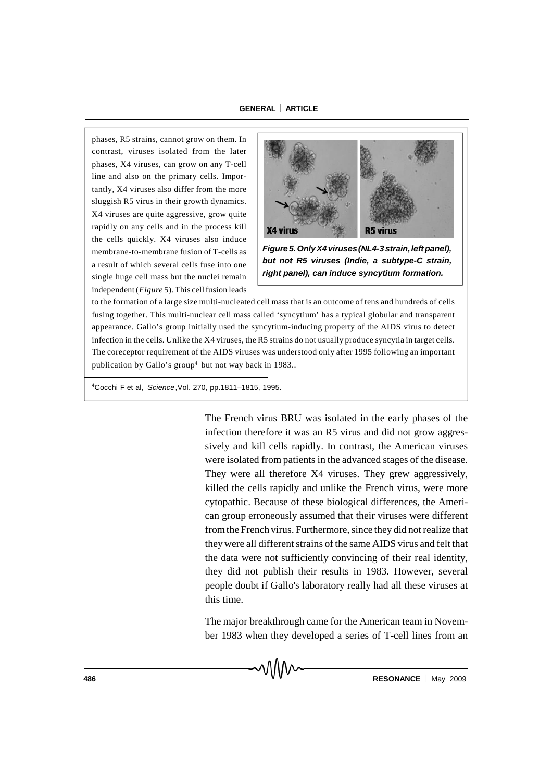phases, R5 strains, cannot grow on them. In contrast, viruses isolated from the later phases, X4 viruses, can grow on any T-cell line and also on the primary cells. Importantly, X4 viruses also differ from the more sluggish R5 virus in their growth dynamics. X4 viruses are quite aggressive, grow quite rapidly on any cells and in the process kill the cells quickly. X4 viruses also induce membrane-to-membrane fusion of T-cells as a result of which several cells fuse into one single huge cell mass but the nuclei remain independent (*Figure* 5). This cell fusion leads



*Figure5.OnlyX4viruses(NL4-3 strain,left panel), but not R5 viruses (Indie, a subtype-C strain, right panel), can induce syncytium formation.*

to the formation of a large size multi-nucleated cell mass that is an outcome of tens and hundreds of cells fusing together. This multi-nuclear cell mass called 'syncytium' has a typical globular and transparent appearance. Gallo's group initially used the syncytium-inducing property of the AIDS virus to detect infection in the cells. Unlike the X4 viruses, the R5 strains do not usually produce syncytia in target cells. The coreceptor requirement of the AIDS viruses was understood only after 1995 following an important publication by Gallo's group<sup>4</sup> but not way back in 1983..

**<sup>4</sup>**Cocchi F et al, *Science*,Vol. 270, pp.1811–1815, 1995.

The French virus BRU was isolated in the early phases of the infection therefore it was an R5 virus and did not grow aggressively and kill cells rapidly. In contrast, the American viruses were isolated from patients in the advanced stages of the disease. They were all therefore X4 viruses. They grew aggressively, killed the cells rapidly and unlike the French virus, were more cytopathic. Because of these biological differences, the American group erroneously assumed that their viruses were different from the French virus. Furthermore, since they did not realize that they were all different strains of the same AIDS virus and felt that the data were not sufficiently convincing of their real identity, they did not publish their results in 1983. However, several people doubt if Gallo's laboratory really had all these viruses at this time.

The major breakthrough came for the American team in November 1983 when they developed a series of T-cell lines from an

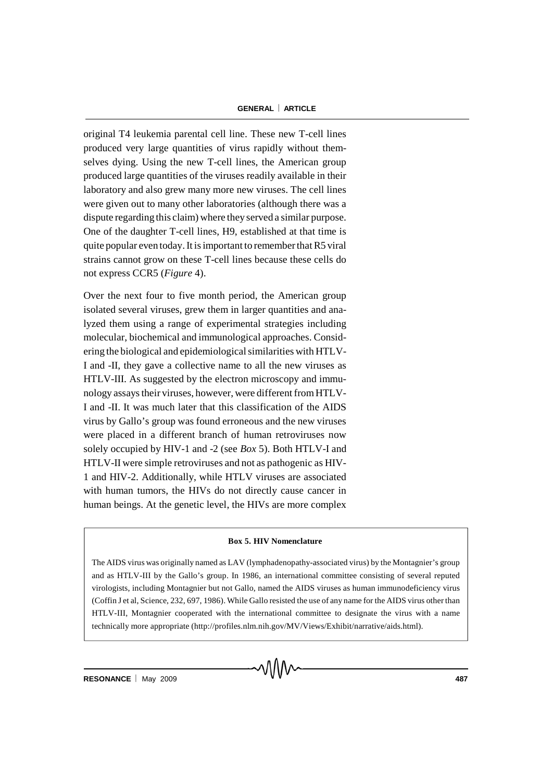original T4 leukemia parental cell line. These new T-cell lines produced very large quantities of virus rapidly without themselves dying. Using the new T-cell lines, the American group produced large quantities of the viruses readily available in their laboratory and also grew many more new viruses. The cell lines were given out to many other laboratories (although there was a dispute regarding this claim) where they served a similar purpose. One of the daughter T-cell lines, H9, established at that time is quite popular even today. It is important to remember that R5 viral strains cannot grow on these T-cell lines because these cells do not express CCR5 (*Figure* 4).

Over the next four to five month period, the American group isolated several viruses, grew them in larger quantities and analyzed them using a range of experimental strategies including molecular, biochemical and immunological approaches. Considering the biological and epidemiological similarities with HTLV-I and -II, they gave a collective name to all the new viruses as HTLV-III. As suggested by the electron microscopy and immunology assays their viruses, however, were different from HTLV-I and -II. It was much later that this classification of the AIDS virus by Gallo's group was found erroneous and the new viruses were placed in a different branch of human retroviruses now solely occupied by HIV-1 and -2 (see *Box* 5). Both HTLV-I and HTLV-II were simple retroviruses and not as pathogenic as HIV-1 and HIV-2. Additionally, while HTLV viruses are associated with human tumors, the HIVs do not directly cause cancer in human beings. At the genetic level, the HIVs are more complex

### **Box 5. HIV Nomenclature**

The AIDS virus was originally named as LAV (lymphadenopathy-associated virus) by the Montagnier's group and as HTLV-III by the Gallo's group. In 1986, an international committee consisting of several reputed virologists, including Montagnier but not Gallo, named the AIDS viruses as human immunodeficiency virus (Coffin J et al, Science, 232, 697, 1986). While Gallo resisted the use of any name for the AIDS virus other than HTLV-III, Montagnier cooperated with the international committee to designate the virus with a name technically more appropriate (http://profiles.nlm.nih.gov/MV/Views/Exhibit/narrative/aids.html).

MMM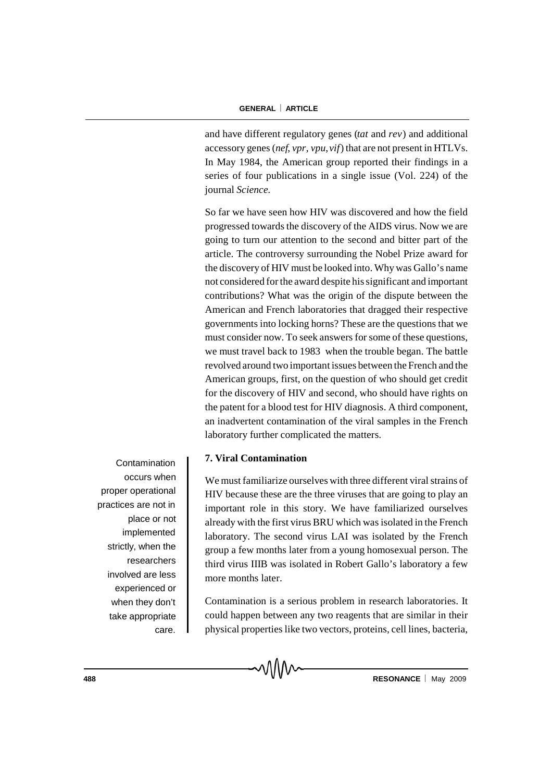and have different regulatory genes (*tat* and *rev*) and additional accessory genes (*nef*, *vpr*, *vpu*, *vif*) that are not present in HTLVs. In May 1984, the American group reported their findings in a series of four publications in a single issue (Vol. 224) of the journal *Science.*

So far we have seen how HIV was discovered and how the field progressed towards the discovery of the AIDS virus. Now we are going to turn our attention to the second and bitter part of the article. The controversy surrounding the Nobel Prize award for the discovery of HIV must be looked into. Why was Gallo's name not considered for the award despite his significant and important contributions? What was the origin of the dispute between the American and French laboratories that dragged their respective governments into locking horns? These are the questions that we must consider now. To seek answers for some of these questions, we must travel back to 1983 when the trouble began. The battle revolved around two important issues between the French and the American groups, first, on the question of who should get credit for the discovery of HIV and second, who should have rights on the patent for a blood test for HIV diagnosis. A third component, an inadvertent contamination of the viral samples in the French laboratory further complicated the matters.

## **7. Viral Contamination**

We must familiarize ourselves with three different viral strains of HIV because these are the three viruses that are going to play an important role in this story. We have familiarized ourselves already with the first virus BRU which was isolated in the French laboratory. The second virus LAI was isolated by the French group a few months later from a young homosexual person. The third virus IIIB was isolated in Robert Gallo's laboratory a few more months later.

Contamination is a serious problem in research laboratories. It could happen between any two reagents that are similar in their physical properties like two vectors, proteins, cell lines, bacteria,



**Contamination** occurs when proper operational practices are not in place or not implemented strictly, when the researchers involved are less experienced or when they don't take appropriate care.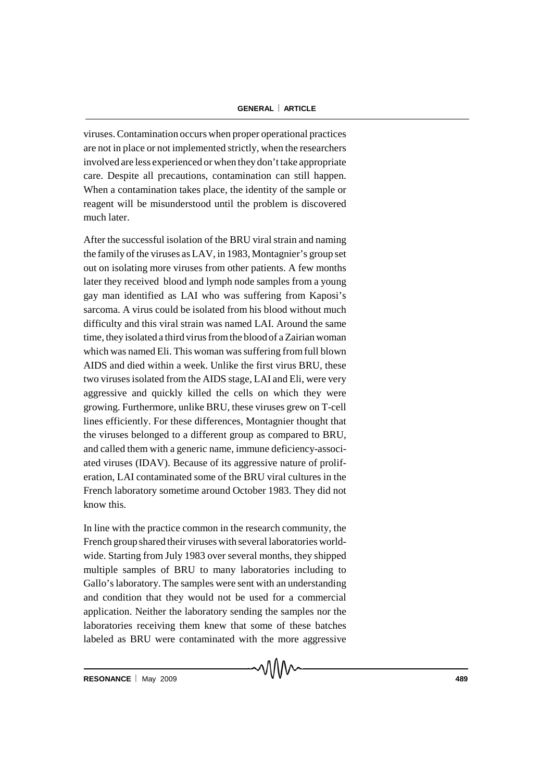viruses. Contamination occurs when proper operational practices are not in place or not implemented strictly, when the researchers involved are less experienced or when they don't take appropriate care. Despite all precautions, contamination can still happen. When a contamination takes place, the identity of the sample or reagent will be misunderstood until the problem is discovered much later.

After the successful isolation of the BRU viral strain and naming the family of the viruses as LAV, in 1983, Montagnier's group set out on isolating more viruses from other patients. A few months later they received blood and lymph node samples from a young gay man identified as LAI who was suffering from Kaposi's sarcoma. A virus could be isolated from his blood without much difficulty and this viral strain was named LAI. Around the same time, they isolated a third virus from the blood of a Zairian woman which was named Eli. This woman was suffering from full blown AIDS and died within a week. Unlike the first virus BRU, these two viruses isolated from the AIDS stage, LAI and Eli, were very aggressive and quickly killed the cells on which they were growing. Furthermore, unlike BRU, these viruses grew on T-cell lines efficiently. For these differences, Montagnier thought that the viruses belonged to a different group as compared to BRU, and called them with a generic name, immune deficiency-associated viruses (IDAV). Because of its aggressive nature of proliferation, LAI contaminated some of the BRU viral cultures in the French laboratory sometime around October 1983. They did not know this.

In line with the practice common in the research community, the French group shared their viruses with several laboratories worldwide. Starting from July 1983 over several months, they shipped multiple samples of BRU to many laboratories including to Gallo's laboratory. The samples were sent with an understanding and condition that they would not be used for a commercial application. Neither the laboratory sending the samples nor the laboratories receiving them knew that some of these batches labeled as BRU were contaminated with the more aggressive

^\\\\\^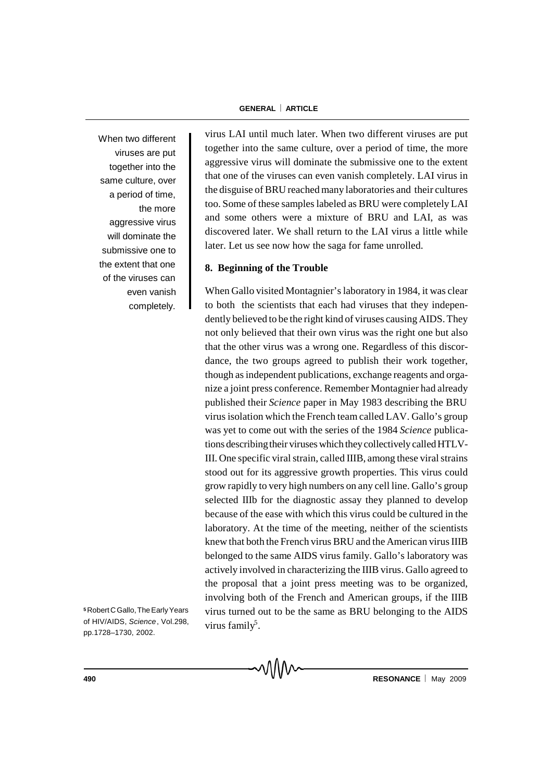When two different viruses are put together into the same culture, over a period of time, the more aggressive virus will dominate the submissive one to the extent that one of the viruses can even vanish completely.

**<sup>5</sup>**Robert C Gallo, The EarlyYears of HIV/AIDS, *Science*, Vol.298, pp.1728–1730, 2002.

virus LAI until much later. When two different viruses are put together into the same culture, over a period of time, the more aggressive virus will dominate the submissive one to the extent that one of the viruses can even vanish completely. LAI virus in the disguise of BRU reached many laboratories and their cultures too. Some of these samples labeled as BRU were completely LAI and some others were a mixture of BRU and LAI, as was discovered later. We shall return to the LAI virus a little while later. Let us see now how the saga for fame unrolled.

# **8. Beginning of the Trouble**

When Gallo visited Montagnier's laboratory in 1984, it was clear to both the scientists that each had viruses that they independently believed to be the right kind of viruses causing AIDS. They not only believed that their own virus was the right one but also that the other virus was a wrong one. Regardless of this discordance, the two groups agreed to publish their work together, though as independent publications, exchange reagents and organize a joint press conference. Remember Montagnier had already published their *Science* paper in May 1983 describing the BRU virus isolation which the French team called LAV. Gallo's group was yet to come out with the series of the 1984 *Science* publications describing their viruses which they collectively called HTLV-III. One specific viral strain, called IIIB, among these viral strains stood out for its aggressive growth properties. This virus could grow rapidly to very high numbers on any cell line. Gallo's group selected IIIb for the diagnostic assay they planned to develop because of the ease with which this virus could be cultured in the laboratory. At the time of the meeting, neither of the scientists knew that both the French virus BRU and the American virus IIIB belonged to the same AIDS virus family. Gallo's laboratory was actively involved in characterizing the IIIB virus. Gallo agreed to the proposal that a joint press meeting was to be organized, involving both of the French and American groups, if the IIIB virus turned out to be the same as BRU belonging to the AIDS virus family<sup>5</sup>.

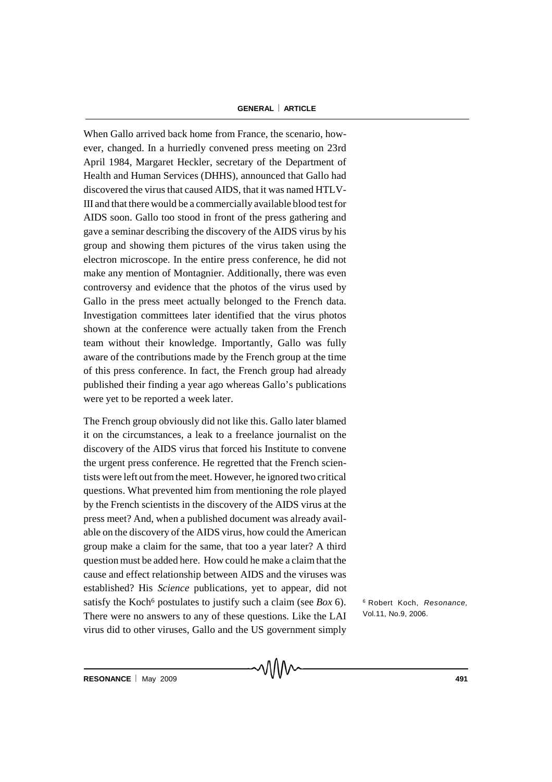When Gallo arrived back home from France, the scenario, however, changed. In a hurriedly convened press meeting on 23rd April 1984, Margaret Heckler, secretary of the Department of Health and Human Services (DHHS), announced that Gallo had discovered the virus that caused AIDS, that it was named HTLV-III and that there would be a commercially available blood test for AIDS soon. Gallo too stood in front of the press gathering and gave a seminar describing the discovery of the AIDS virus by his group and showing them pictures of the virus taken using the electron microscope. In the entire press conference, he did not make any mention of Montagnier. Additionally, there was even controversy and evidence that the photos of the virus used by Gallo in the press meet actually belonged to the French data. Investigation committees later identified that the virus photos shown at the conference were actually taken from the French team without their knowledge. Importantly, Gallo was fully aware of the contributions made by the French group at the time of this press conference. In fact, the French group had already published their finding a year ago whereas Gallo's publications were yet to be reported a week later.

The French group obviously did not like this. Gallo later blamed it on the circumstances, a leak to a freelance journalist on the discovery of the AIDS virus that forced his Institute to convene the urgent press conference. He regretted that the French scientists were left out from the meet. However, he ignored two critical questions. What prevented him from mentioning the role played by the French scientists in the discovery of the AIDS virus at the press meet? And, when a published document was already available on the discovery of the AIDS virus, how could the American group make a claim for the same, that too a year later? A third question must be added here. How could he make a claim that the cause and effect relationship between AIDS and the viruses was established? His *Science* publications, yet to appear, did not satisfy the Koch<sup>6</sup> postulates to justify such a claim (see *Box* 6). There were no answers to any of these questions. Like the LAI virus did to other viruses, Gallo and the US government simply

MMM

<sup>6</sup> Robert Koch, *Resonance,* Vol.11, No.9, 2006.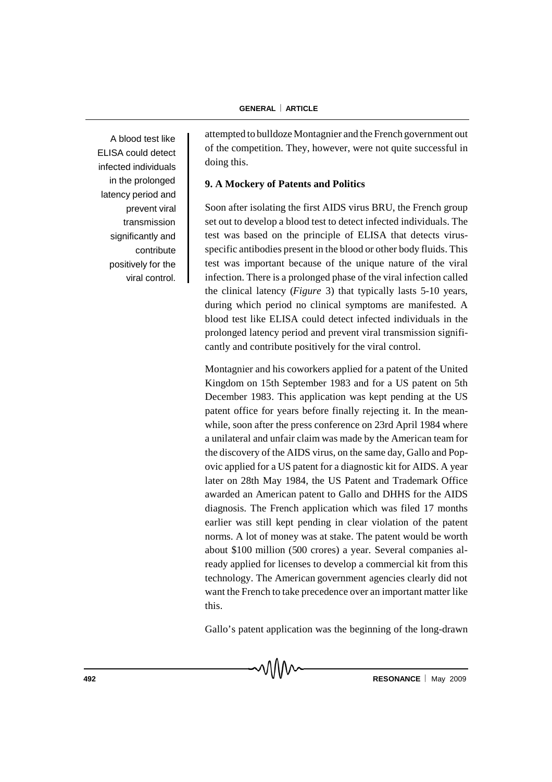A blood test like ELISA could detect infected individuals in the prolonged latency period and prevent viral transmission significantly and contribute positively for the viral control.

attempted to bulldoze Montagnier and the French government out of the competition. They, however, were not quite successful in doing this.

## **9. A Mockery of Patents and Politics**

Soon after isolating the first AIDS virus BRU, the French group set out to develop a blood test to detect infected individuals. The test was based on the principle of ELISA that detects virusspecific antibodies present in the blood or other body fluids. This test was important because of the unique nature of the viral infection. There is a prolonged phase of the viral infection called the clinical latency (*Figure* 3) that typically lasts 5-10 years, during which period no clinical symptoms are manifested. A blood test like ELISA could detect infected individuals in the prolonged latency period and prevent viral transmission significantly and contribute positively for the viral control.

Montagnier and his coworkers applied for a patent of the United Kingdom on 15th September 1983 and for a US patent on 5th December 1983. This application was kept pending at the US patent office for years before finally rejecting it. In the meanwhile, soon after the press conference on 23rd April 1984 where a unilateral and unfair claim was made by the American team for the discovery of the AIDS virus, on the same day, Gallo and Popovic applied for a US patent for a diagnostic kit for AIDS. A year later on 28th May 1984, the US Patent and Trademark Office awarded an American patent to Gallo and DHHS for the AIDS diagnosis. The French application which was filed 17 months earlier was still kept pending in clear violation of the patent norms. A lot of money was at stake. The patent would be worth about \$100 million (500 crores) a year. Several companies already applied for licenses to develop a commercial kit from this technology. The American government agencies clearly did not want the French to take precedence over an important matter like this.

Gallo's patent application was the beginning of the long-drawn

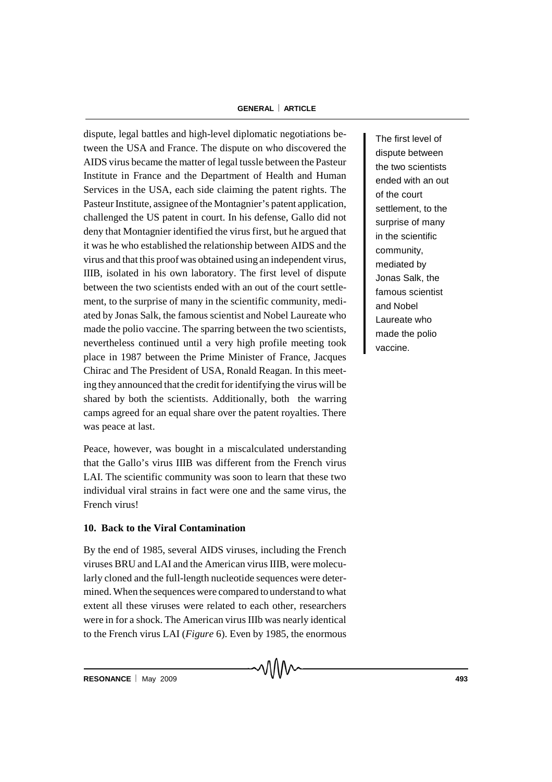dispute, legal battles and high-level diplomatic negotiations between the USA and France. The dispute on who discovered the AIDS virus became the matter of legal tussle between the Pasteur Institute in France and the Department of Health and Human Services in the USA, each side claiming the patent rights. The Pasteur Institute, assignee of the Montagnier's patent application, challenged the US patent in court. In his defense, Gallo did not deny that Montagnier identified the virus first, but he argued that it was he who established the relationship between AIDS and the virus and that this proof was obtained using an independent virus, IIIB, isolated in his own laboratory. The first level of dispute between the two scientists ended with an out of the court settlement, to the surprise of many in the scientific community, mediated by Jonas Salk, the famous scientist and Nobel Laureate who made the polio vaccine. The sparring between the two scientists, nevertheless continued until a very high profile meeting took place in 1987 between the Prime Minister of France, Jacques Chirac and The President of USA, Ronald Reagan. In this meeting they announced that the credit for identifying the virus will be shared by both the scientists. Additionally, both the warring camps agreed for an equal share over the patent royalties. There was peace at last.

Peace, however, was bought in a miscalculated understanding that the Gallo's virus IIIB was different from the French virus LAI. The scientific community was soon to learn that these two individual viral strains in fact were one and the same virus, the French virus!

# **10. Back to the Viral Contamination**

By the end of 1985, several AIDS viruses, including the French viruses BRU and LAI and the American virus IIIB, were molecularly cloned and the full-length nucleotide sequences were determined. When the sequences were compared to understand to what extent all these viruses were related to each other, researchers were in for a shock. The American virus IIIb was nearly identical to the French virus LAI (*Figure* 6). Even by 1985, the enormous The first level of dispute between the two scientists ended with an out of the court settlement, to the surprise of many in the scientific community, mediated by Jonas Salk, the famous scientist and Nobel Laureate who made the polio vaccine.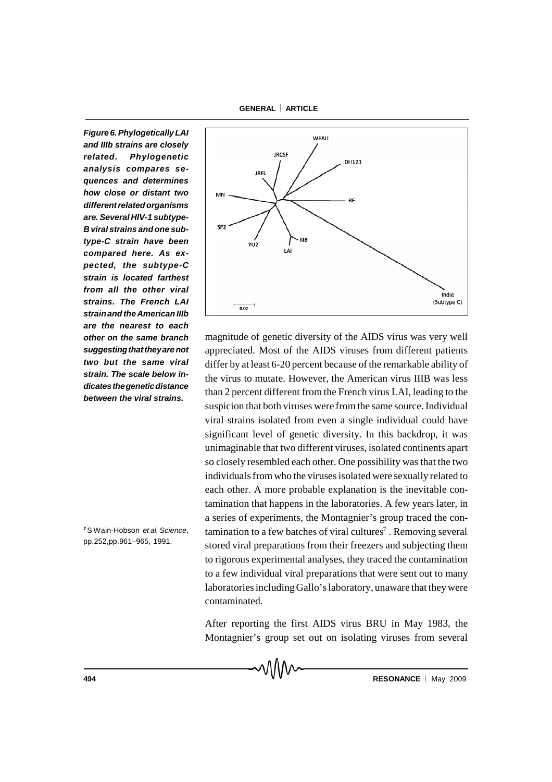

*Figure 6.Phylogetically LAI and IIIb strains are closely related. Phylogenetic analysis compares sequences and determines how close or distant two differentrelated organisms are. Several HIV-1 subtype-B viral strains and one subtype-C strain have been compared here. As expected, the subtype-C strain is located farthest from all the other viral strains. The French LAI strainand theAmerican IIIb are the nearest to each other on the same branch suggestingthattheyarenot two but the same viral strain. The scale below indicatesthegeneticdistance between the viral strains.*

**<sup>7</sup>**S Wain-Hobson *et al*, *Science*, pp.252,pp.961–965, 1991.



magnitude of genetic diversity of the AIDS virus was very well appreciated. Most of the AIDS viruses from different patients differ by at least 6-20 percent because of the remarkable ability of the virus to mutate. However, the American virus IIIB was less than 2 percent different from the French virus LAI, leading to the suspicion that both viruses were from the same source. Individual viral strains isolated from even a single individual could have significant level of genetic diversity. In this backdrop, it was unimaginable that two different viruses, isolated continents apart so closely resembled each other. One possibility was that the two individuals from who the viruses isolated were sexually related to each other. A more probable explanation is the inevitable contamination that happens in the laboratories. A few years later, in a series of experiments, the Montagnier's group traced the contamination to a few batches of viral cultures $^7$ . Removing several stored viral preparations from their freezers and subjecting them to rigorous experimental analyses, they traced the contamination to a few individual viral preparations that were sent out to many laboratories including Gallo's laboratory, unaware that they were contaminated.

After reporting the first AIDS virus BRU in May 1983, the Montagnier's group set out on isolating viruses from several

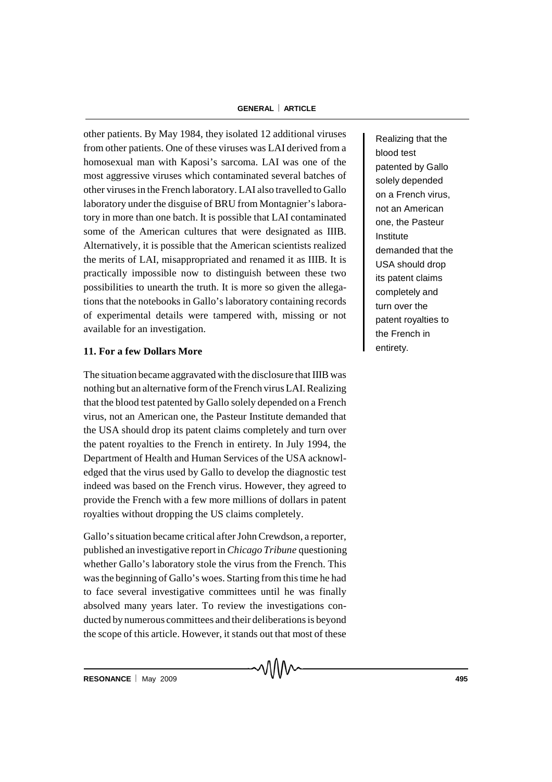other patients. By May 1984, they isolated 12 additional viruses from other patients. One of these viruses was LAI derived from a homosexual man with Kaposi's sarcoma. LAI was one of the most aggressive viruses which contaminated several batches of other viruses in the French laboratory. LAI also travelled to Gallo laboratory under the disguise of BRU from Montagnier's laboratory in more than one batch. It is possible that LAI contaminated some of the American cultures that were designated as IIIB. Alternatively, it is possible that the American scientists realized the merits of LAI, misappropriated and renamed it as IIIB. It is practically impossible now to distinguish between these two possibilities to unearth the truth. It is more so given the allegations that the notebooks in Gallo's laboratory containing records of experimental details were tampered with, missing or not available for an investigation.

## **11. For a few Dollars More**

The situation became aggravated with the disclosure that IIIB was nothing but an alternative form of the French virus LAI. Realizing that the blood test patented by Gallo solely depended on a French virus, not an American one, the Pasteur Institute demanded that the USA should drop its patent claims completely and turn over the patent royalties to the French in entirety. In July 1994, the Department of Health and Human Services of the USA acknowledged that the virus used by Gallo to develop the diagnostic test indeed was based on the French virus. However, they agreed to provide the French with a few more millions of dollars in patent royalties without dropping the US claims completely.

Gallo's situation became critical after John Crewdson, a reporter, published an investigative report in *Chicago Tribune* questioning whether Gallo's laboratory stole the virus from the French. This was the beginning of Gallo's woes. Starting from this time he had to face several investigative committees until he was finally absolved many years later. To review the investigations conducted by numerous committees and their deliberations is beyond the scope of this article. However, it stands out that most of these Realizing that the blood test patented by Gallo solely depended on a French virus, not an American one, the Pasteur **Institute** demanded that the USA should drop its patent claims completely and turn over the patent royalties to the French in entirety.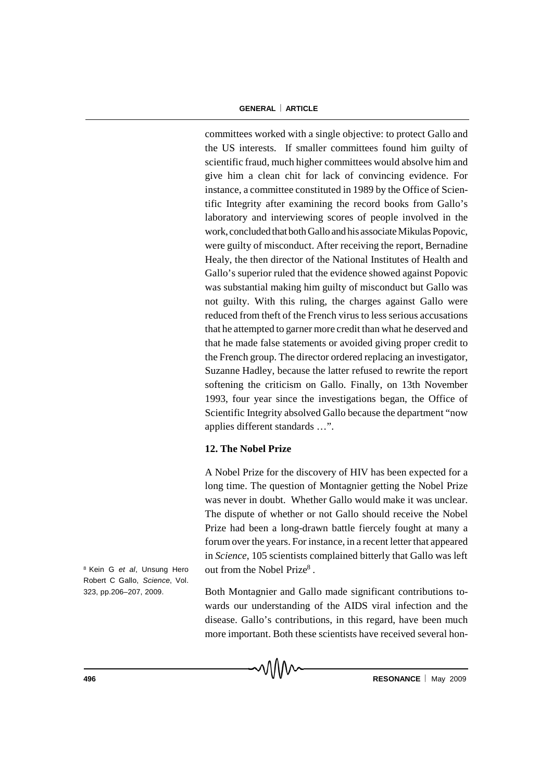committees worked with a single objective: to protect Gallo and the US interests. If smaller committees found him guilty of scientific fraud, much higher committees would absolve him and give him a clean chit for lack of convincing evidence. For instance, a committee constituted in 1989 by the Office of Scientific Integrity after examining the record books from Gallo's laboratory and interviewing scores of people involved in the work, concluded that both Gallo and his associate Mikulas Popovic, were guilty of misconduct. After receiving the report, Bernadine Healy, the then director of the National Institutes of Health and Gallo's superior ruled that the evidence showed against Popovic was substantial making him guilty of misconduct but Gallo was not guilty. With this ruling, the charges against Gallo were reduced from theft of the French virus to less serious accusations that he attempted to garner more credit than what he deserved and that he made false statements or avoided giving proper credit to the French group. The director ordered replacing an investigator, Suzanne Hadley, because the latter refused to rewrite the report softening the criticism on Gallo. Finally, on 13th November 1993, four year since the investigations began, the Office of Scientific Integrity absolved Gallo because the department "now applies different standards …".

## **12. The Nobel Prize**

A Nobel Prize for the discovery of HIV has been expected for a long time. The question of Montagnier getting the Nobel Prize was never in doubt. Whether Gallo would make it was unclear. The dispute of whether or not Gallo should receive the Nobel Prize had been a long-drawn battle fiercely fought at many a forum over the years. For instance, in a recent letter that appeared in *Science*, 105 scientists complained bitterly that Gallo was left out from the Nobel Prize<sup>8</sup>.

<sup>8</sup> Kein G *et al*, Unsung Hero Robert C Gallo, *Science*, Vol. 323, pp.206–207, 2009.

Both Montagnier and Gallo made significant contributions towards our understanding of the AIDS viral infection and the disease. Gallo's contributions, in this regard, have been much more important. Both these scientists have received several hon-

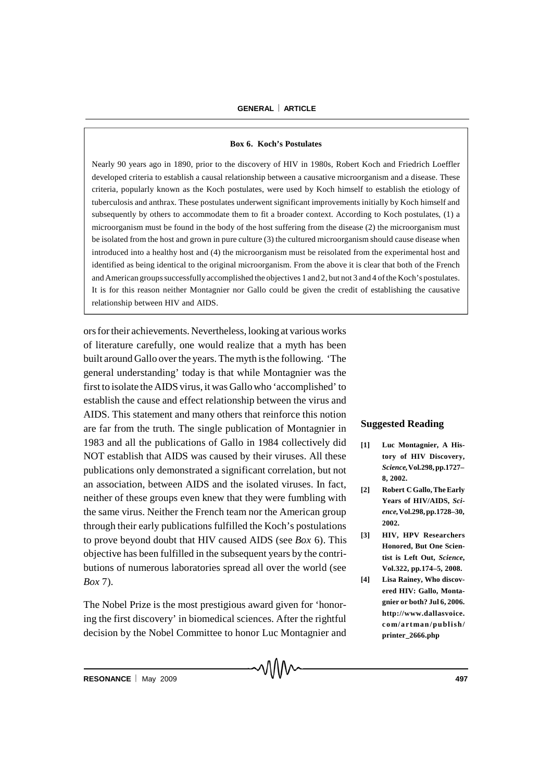#### **Box 6. Koch's Postulates**

Nearly 90 years ago in 1890, prior to the discovery of HIV in 1980s, Robert Koch and Friedrich Loeffler developed criteria to establish a causal relationship between a causative microorganism and a disease. These criteria, popularly known as the Koch postulates, were used by Koch himself to establish the etiology of tuberculosis and anthrax. These postulates underwent significant improvements initially by Koch himself and subsequently by others to accommodate them to fit a broader context. According to Koch postulates, (1) a microorganism must be found in the body of the host suffering from the disease (2) the microorganism must be isolated from the host and grown in pure culture (3) the cultured microorganism should cause disease when introduced into a healthy host and (4) the microorganism must be reisolated from the experimental host and identified as being identical to the original microorganism. From the above it is clear that both of the French and American groups successfully accomplished the objectives 1 and 2, but not 3 and 4 of the Koch's postulates. It is for this reason neither Montagnier nor Gallo could be given the credit of establishing the causative relationship between HIV and AIDS.

ors for their achievements. Nevertheless, looking at various works of literature carefully, one would realize that a myth has been built around Gallo over the years. The myth is the following. 'The general understanding' today is that while Montagnier was the first to isolate the AIDS virus, it was Gallo who 'accomplished' to establish the cause and effect relationship between the virus and AIDS. This statement and many others that reinforce this notion are far from the truth. The single publication of Montagnier in 1983 and all the publications of Gallo in 1984 collectively did NOT establish that AIDS was caused by their viruses. All these publications only demonstrated a significant correlation, but not an association, between AIDS and the isolated viruses. In fact, neither of these groups even knew that they were fumbling with the same virus. Neither the French team nor the American group through their early publications fulfilled the Koch's postulations to prove beyond doubt that HIV caused AIDS (see *Box* 6). This objective has been fulfilled in the subsequent years by the contributions of numerous laboratories spread all over the world (see *Box* 7).

The Nobel Prize is the most prestigious award given for 'honoring the first discovery' in biomedical sciences. After the rightful decision by the Nobel Committee to honor Luc Montagnier and



## **Suggested Reading**

- **[1] Luc Montagnier, A History of HIV Discovery,** *Science***,Vol.298, pp.1727– 8, 2002.**
- **[2] Robert C Gallo,The Early Years of HIV/AIDS,** *Science***,Vol.298, pp.1728–30, 2002.**
- **[3] HIV, HPV Researchers Honored, But One Scientist is Left Out,** *Science***, Vol.322, pp.174–5, 2008.**
- **[4] Lisa Rainey, Who discovered HIV: Gallo, Montagnier or both? Jul 6, 2006. http://www.dallasvoice. co m/ a rtma n / publ i sh/ printer\_2666.php**